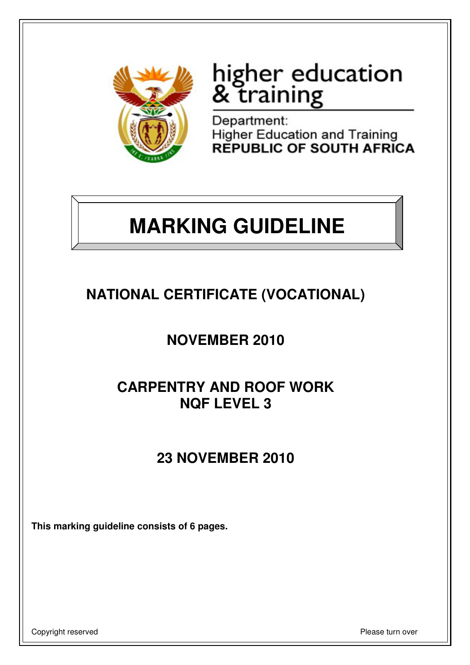

# higher education<br>& training

Department: Higher Education and Training<br>REPUBLIC OF SOUTH AFRICA

## **MARKING GUIDELINE**

## **NATIONAL CERTIFICATE (VOCATIONAL)**

## **NOVEMBER 2010**

### **CARPENTRY AND ROOF WORK NQF LEVEL 3**

## **23 NOVEMBER 2010**

**This marking guideline consists of 6 pages.** 

Copyright reserved **Please** turn over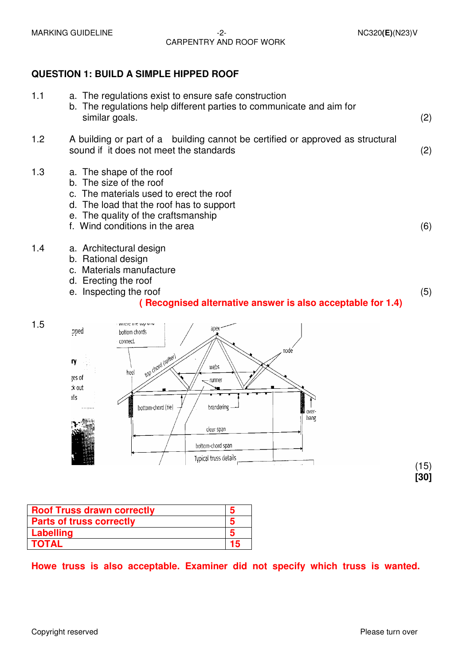#### MARKING GUIDELINE  $-2$ -<br>MARKING GUIDELINE  $-2$ -CARPENTRY AND ROOF WORK

#### **QUESTION 1: BUILD A SIMPLE HIPPED ROOF**

| 1.1 | a. The regulations exist to ensure safe construction<br>b. The regulations help different parties to communicate and aim for<br>similar goals.                                                                      | (2) |
|-----|---------------------------------------------------------------------------------------------------------------------------------------------------------------------------------------------------------------------|-----|
| 1.2 | A building or part of a building cannot be certified or approved as structural<br>sound if it does not meet the standards                                                                                           | (2) |
| 1.3 | a. The shape of the roof<br>b. The size of the roof<br>c. The materials used to erect the roof<br>d. The load that the roof has to support<br>e. The quality of the craftsmanship<br>f. Wind conditions in the area | (6) |
| 1.4 | a. Architectural design<br>b. Rational design<br>c. Materials manufacture<br>d. Erecting the roof<br>e. Inspecting the roof<br>(Recognised alternative answer is also acceptable for 1.4)                           | (5) |
| 1.5 | pped<br>bottom chords<br>connect.                                                                                                                                                                                   |     |



| <b>Roof Truss drawn correctly</b> | h  |
|-----------------------------------|----|
| <b>Parts of truss correctly</b>   | h  |
| Labelling                         | h  |
| <b>TOTAL</b>                      | 15 |

#### **Howe truss is also acceptable. Examiner did not specify which truss is wanted.**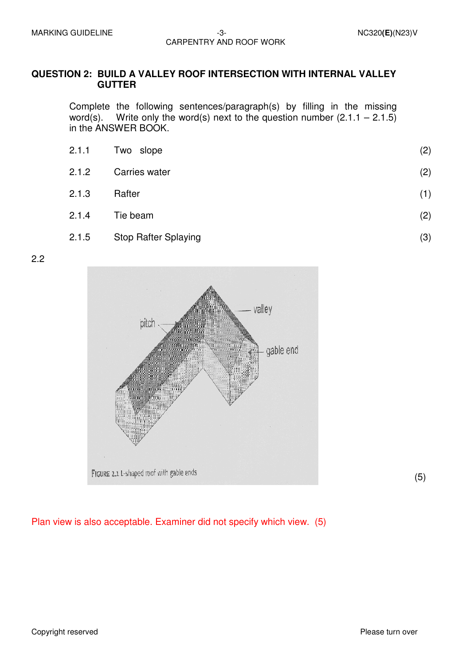#### **QUESTION 2: BUILD A VALLEY ROOF INTERSECTION WITH INTERNAL VALLEY GUTTER**

 Complete the following sentences/paragraph(s) by filling in the missing word(s). Write only the word(s) next to the question number  $(2.1.1 - 2.1.5)$ in the ANSWER BOOK.

| 2.1.1 | Two slope     | (2) |
|-------|---------------|-----|
| 2.1.2 | Carries water | (2) |
| 2.1.3 | Rafter        | (1) |
| 2.1.4 | Tie beam      | (2) |
|       |               |     |

2.1.5 Stop Rafter Splaying

2.2



(5)

(3)

Plan view is also acceptable. Examiner did not specify which view. (5)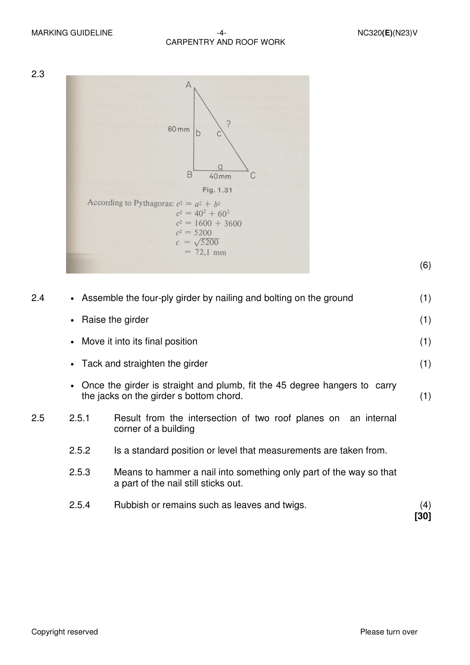MARKING GUIDELINE  $-4 -4-$ CARPENTRY AND ROOF WORK



(6)

| 2.4 | • Assemble the four-ply girder by nailing and bolting on the ground                                                  |                                                                                                            | (1)         |
|-----|----------------------------------------------------------------------------------------------------------------------|------------------------------------------------------------------------------------------------------------|-------------|
|     | • Raise the girder                                                                                                   |                                                                                                            |             |
|     | • Move it into its final position                                                                                    |                                                                                                            |             |
|     | Tack and straighten the girder                                                                                       |                                                                                                            |             |
|     | Once the girder is straight and plumb, fit the 45 degree hangers to carry<br>the jacks on the girder s bottom chord. |                                                                                                            | (1)         |
| 2.5 | 2.5.1                                                                                                                | Result from the intersection of two roof planes on an internal<br>corner of a building                     |             |
|     | 2.5.2                                                                                                                | Is a standard position or level that measurements are taken from.                                          |             |
|     | 2.5.3                                                                                                                | Means to hammer a nail into something only part of the way so that<br>a part of the nail still sticks out. |             |
|     | 2.5.4                                                                                                                | Rubbish or remains such as leaves and twigs.                                                               | (4)<br>[30] |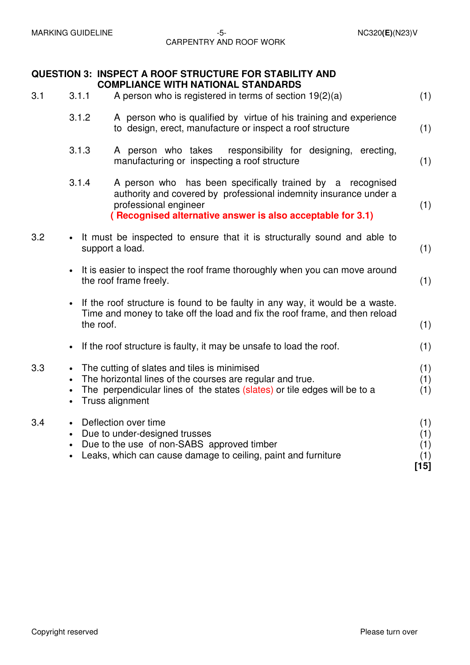#### MARKING GUIDELINE  $-5$ -<br>  $-5$ -<br>
MARKING GUIDELINE CARPENTRY AND ROOF WORK

|     |                                     | <b>QUESTION 3: INSPECT A ROOF STRUCTURE FOR STABILITY AND</b><br><b>COMPLIANCE WITH NATIONAL STANDARDS</b>                                                                                                             |                                    |
|-----|-------------------------------------|------------------------------------------------------------------------------------------------------------------------------------------------------------------------------------------------------------------------|------------------------------------|
| 3.1 | 3.1.1                               | A person who is registered in terms of section $19(2)(a)$                                                                                                                                                              | (1)                                |
|     | 3.1.2                               | A person who is qualified by virtue of his training and experience<br>to design, erect, manufacture or inspect a roof structure                                                                                        | (1)                                |
|     | 3.1.3                               | A person who takes<br>responsibility for designing, erecting,<br>manufacturing or inspecting a roof structure                                                                                                          | (1)                                |
|     | 3.1.4                               | A person who has been specifically trained by a recognised<br>authority and covered by professional indemnity insurance under a<br>professional engineer<br>(Recognised alternative answer is also acceptable for 3.1) | (1)                                |
| 3.2 | $\bullet$                           | It must be inspected to ensure that it is structurally sound and able to<br>support a load.                                                                                                                            | (1)                                |
|     | $\bullet$                           | It is easier to inspect the roof frame thoroughly when you can move around<br>the roof frame freely.                                                                                                                   | (1)                                |
|     | $\bullet$                           | If the roof structure is found to be faulty in any way, it would be a waste.<br>Time and money to take off the load and fix the roof frame, and then reload<br>the roof.                                               | (1)                                |
|     | $\bullet$                           | If the roof structure is faulty, it may be unsafe to load the roof.                                                                                                                                                    | (1)                                |
| 3.3 | $\bullet$<br>$\bullet$<br>$\bullet$ | The cutting of slates and tiles is minimised<br>The horizontal lines of the courses are regular and true.<br>The perpendicular lines of the states (slates) or tile edges will be to a<br>Truss alignment              | (1)<br>(1)<br>(1)                  |
| 3.4 | $\bullet$<br>$\bullet$              | Deflection over time<br>Due to under-designed trusses<br>Due to the use of non-SABS approved timber<br>Leaks, which can cause damage to ceiling, paint and furniture                                                   | (1)<br>(1)<br>(1)<br>(1)<br>$[15]$ |